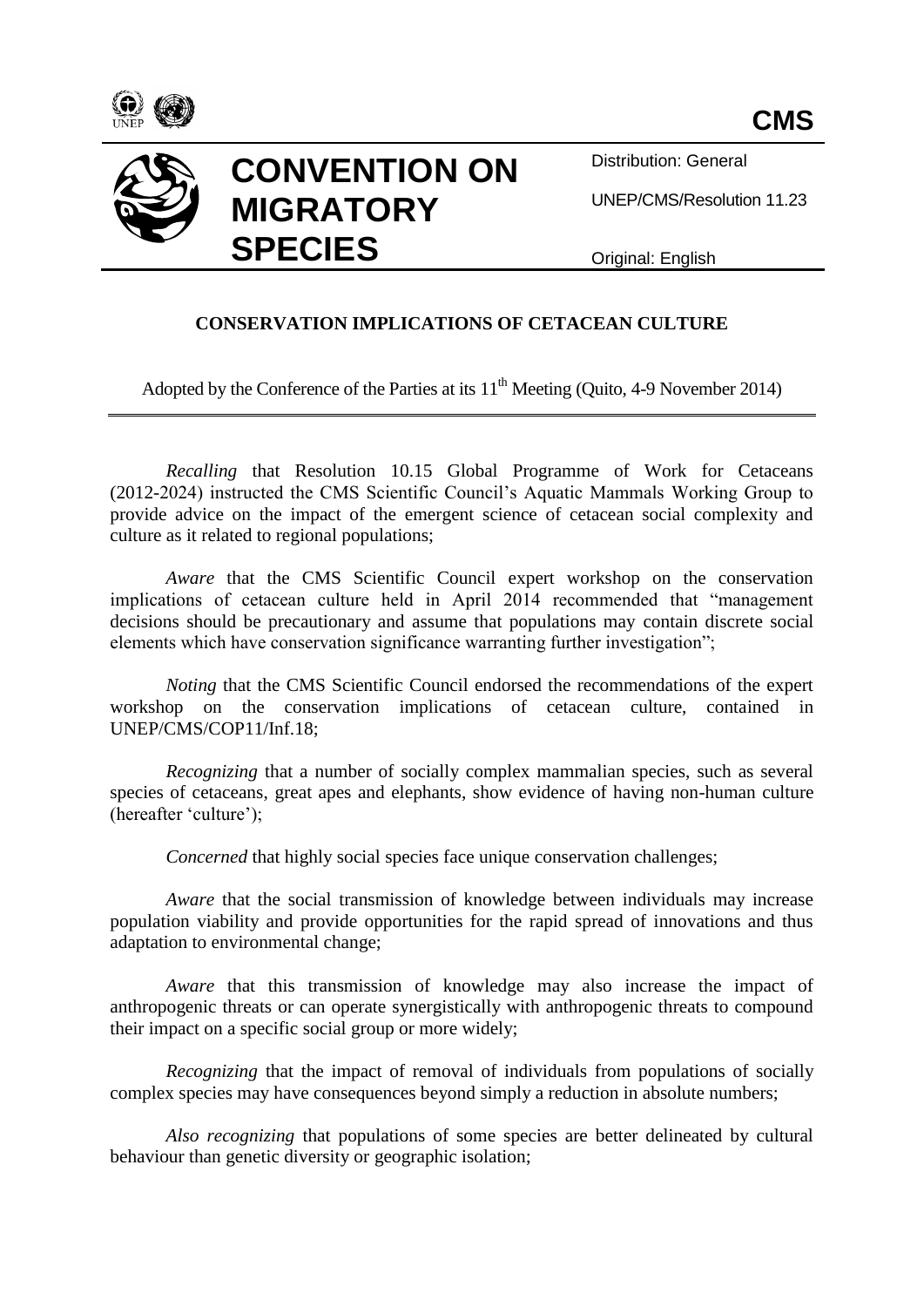



Distribution: General

UNEP/CMS/Resolution 11.23

Original: English

## **CONSERVATION IMPLICATIONS OF CETACEAN CULTURE**

Adopted by the Conference of the Parties at its  $11<sup>th</sup>$  Meeting (Ouito, 4-9 November 2014)

*Recalling* that Resolution 10.15 Global Programme of Work for Cetaceans (2012-2024) instructed the CMS Scientific Council's Aquatic Mammals Working Group to provide advice on the impact of the emergent science of cetacean social complexity and culture as it related to regional populations;

*Aware* that the CMS Scientific Council expert workshop on the conservation implications of cetacean culture held in April 2014 recommended that "management decisions should be precautionary and assume that populations may contain discrete social elements which have conservation significance warranting further investigation";

*Noting* that the CMS Scientific Council endorsed the recommendations of the expert workshop on the conservation implications of cetacean culture, contained in UNEP/CMS/COP11/Inf.18;

*Recognizing* that a number of socially complex mammalian species, such as several species of cetaceans, great apes and elephants, show evidence of having non-human culture (hereafter 'culture');

*Concerned* that highly social species face unique conservation challenges;

*Aware* that the social transmission of knowledge between individuals may increase population viability and provide opportunities for the rapid spread of innovations and thus adaptation to environmental change;

*Aware* that this transmission of knowledge may also increase the impact of anthropogenic threats or can operate synergistically with anthropogenic threats to compound their impact on a specific social group or more widely;

*Recognizing* that the impact of removal of individuals from populations of socially complex species may have consequences beyond simply a reduction in absolute numbers;

*Also recognizing* that populations of some species are better delineated by cultural behaviour than genetic diversity or geographic isolation;